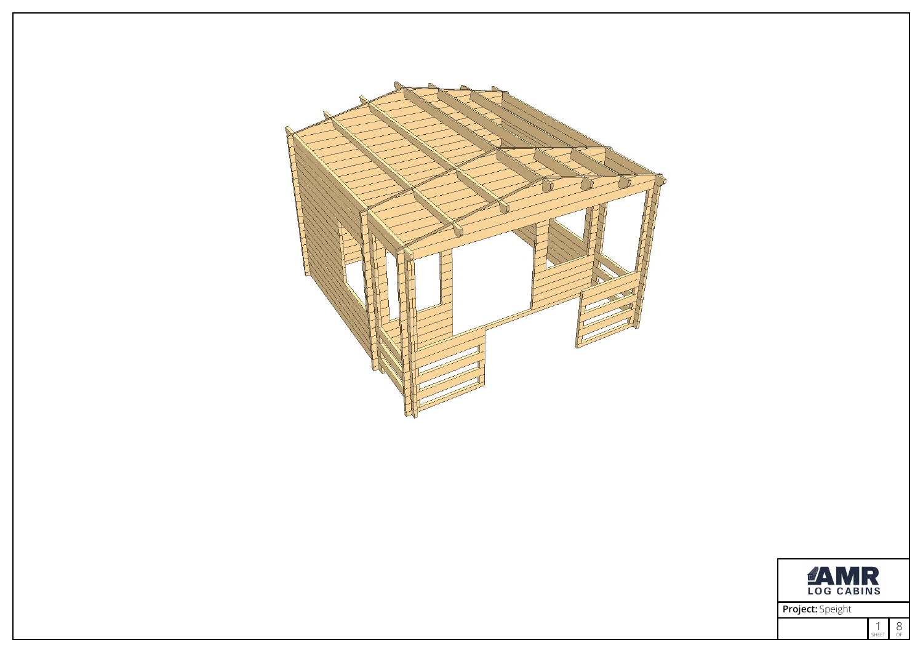



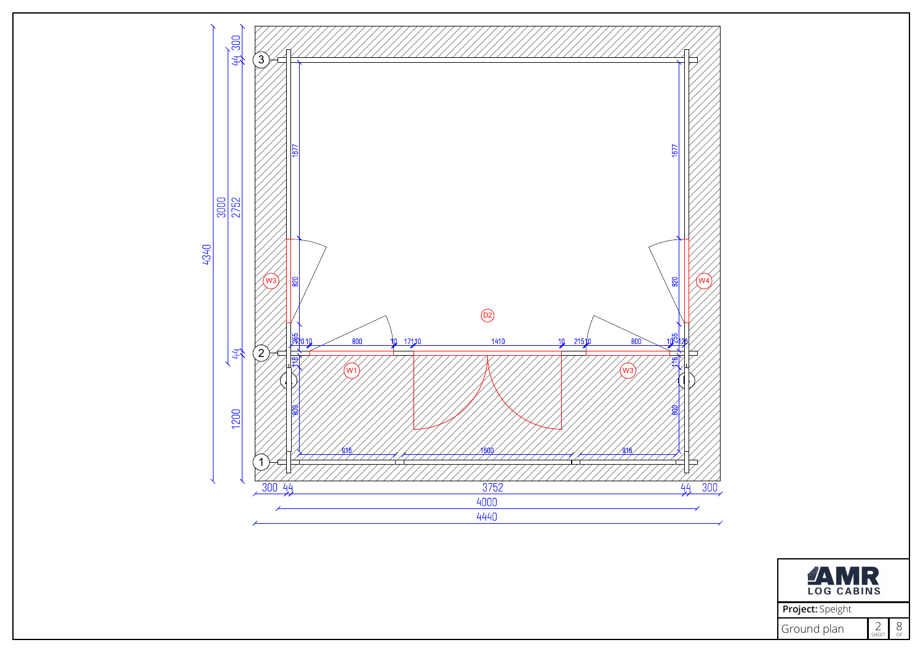

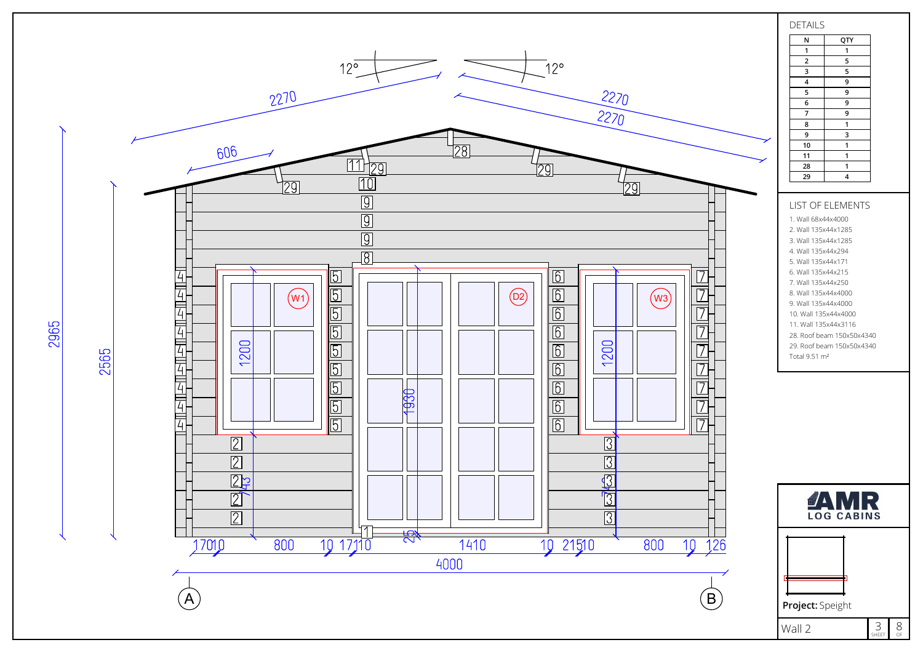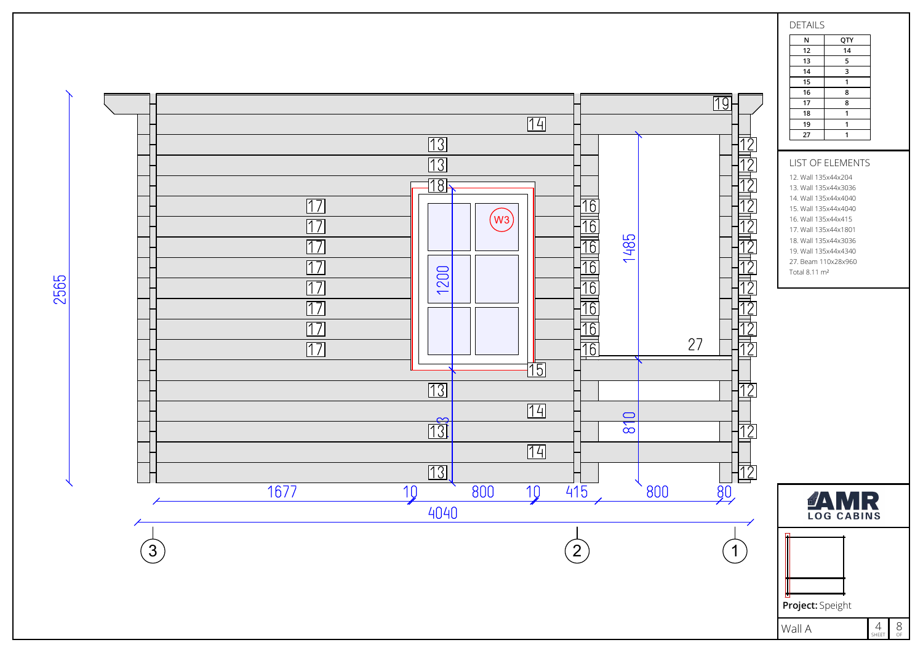

DETAILS

N QTY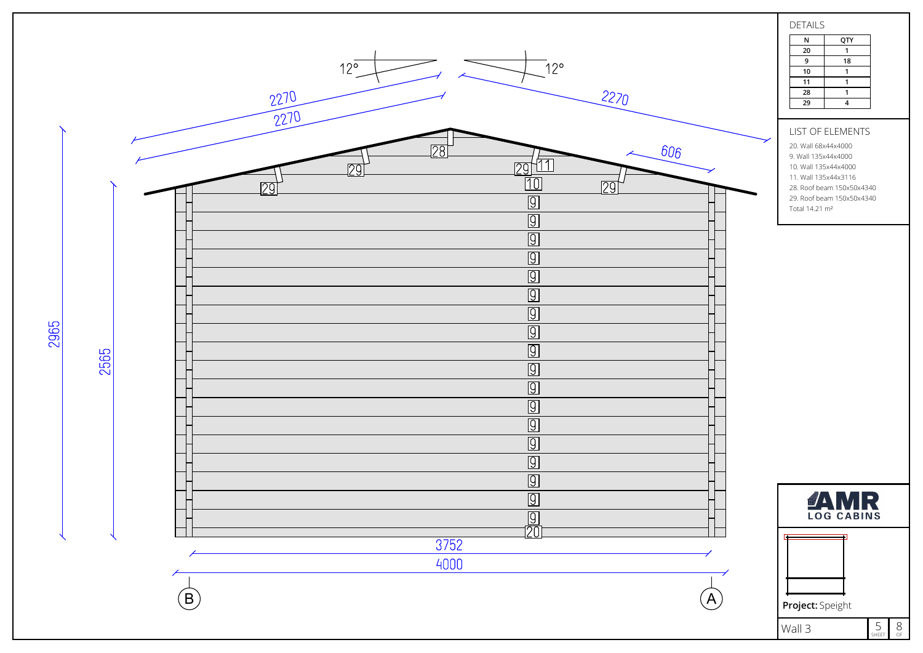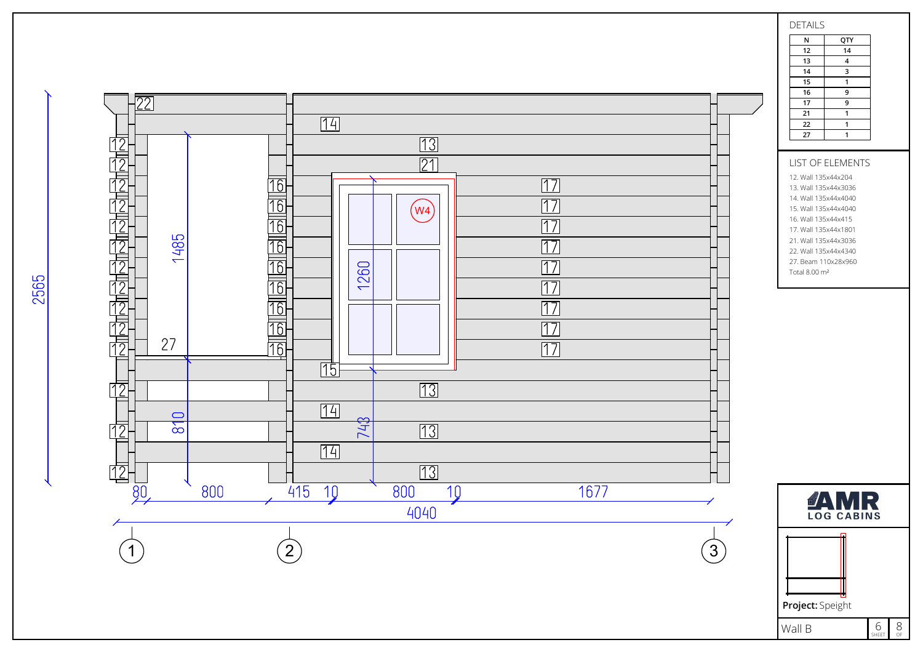16 <u> | 77</u> 17 21  $\overline{14}$ 22 27  $\overline{13}$  $\overline{21}$ LIST OF ELEMENTS 12. Wall 135x44x204  $\overline{17}$ 13. Wall 135x44x3036 14. Wall 135x44x4040  $\overline{17}$  $(w4)$ 15. Wall 135x44x4040 16. Wall 135x44x415  $\overline{17}$ 17. Wall 135x44x1801 1485 21. Wall 135x44x3036  $\overline{17}$ 22. Wall 135x44x4340 27. Beam 110x28x960  $\overline{17}$ 1260 Total 8.00 m²  $\overline{17}$  $\overline{17}$  $\overline{17}$ 27  $\overline{17}$  $\sqrt{15}$  $\overline{13}$ 门  $\overline{14}$  $\bigcirc$ 748  $\overline{\mathbf{5}}$  $13$ 14  $\boxed{13}$ l12 800  $415$  $800$  $\overline{10}$  $1677$  $\overline{80}$ 10 **JAMR** 4040 2 31 Wall B

## DETAILS N QTY 12 14 13 4 14 3 15  $\overline{1}$ 9 9  $\overline{1}$  $\overline{1}$  $\overline{1}$

2565

Project: Speight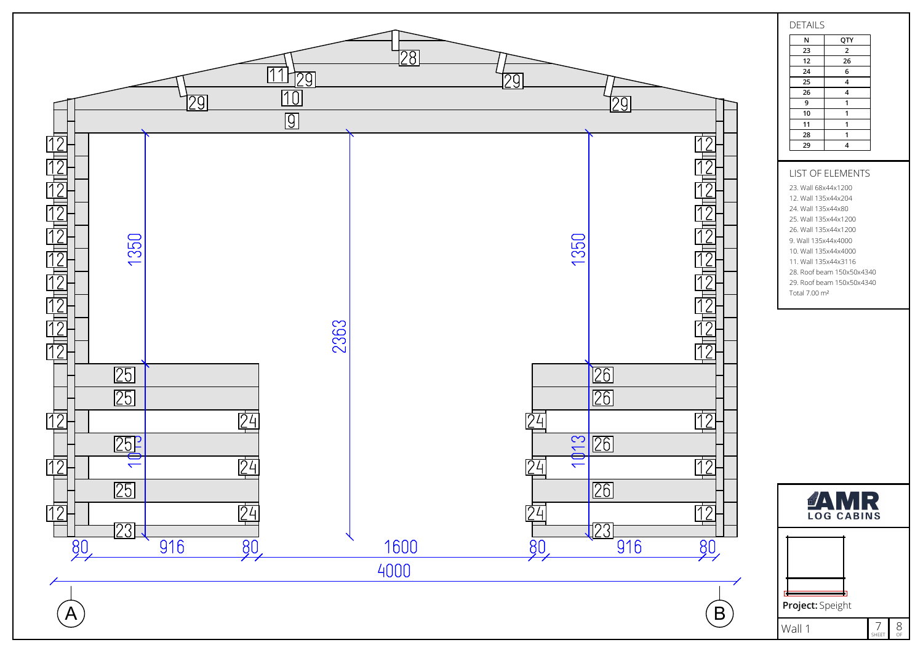